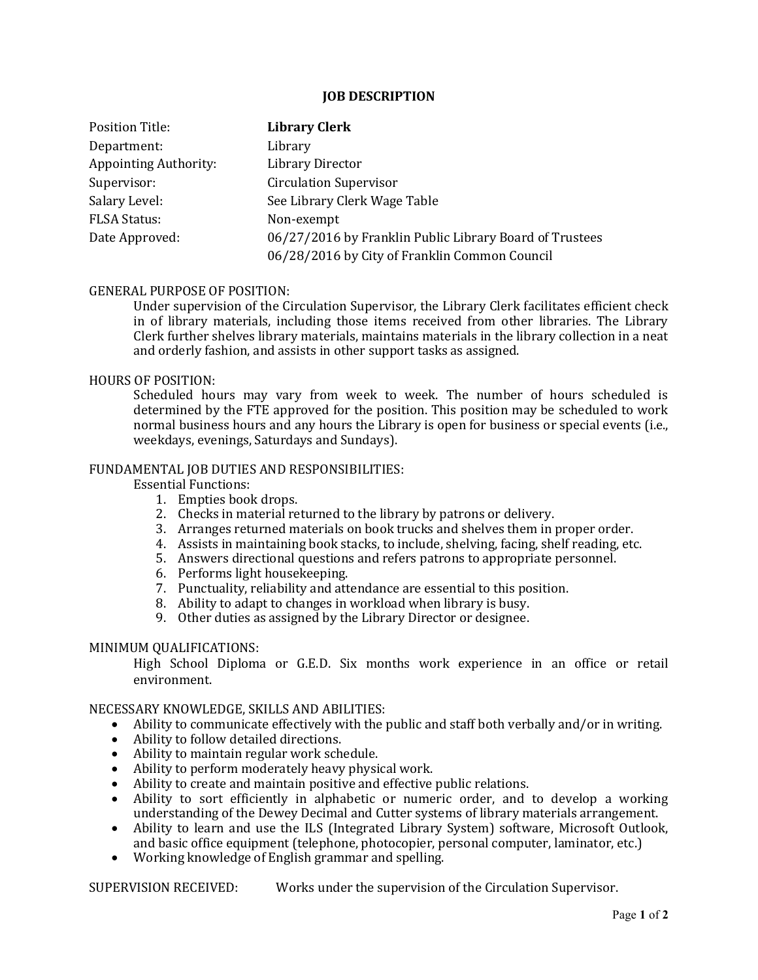#### **JOB DESCRIPTION**

| <b>Position Title:</b>       | <b>Library Clerk</b>                                    |
|------------------------------|---------------------------------------------------------|
| Department:                  | Library                                                 |
| <b>Appointing Authority:</b> | <b>Library Director</b>                                 |
| Supervisor:                  | <b>Circulation Supervisor</b>                           |
| Salary Level:                | See Library Clerk Wage Table                            |
| <b>FLSA Status:</b>          | Non-exempt                                              |
| Date Approved:               | 06/27/2016 by Franklin Public Library Board of Trustees |
|                              | 06/28/2016 by City of Franklin Common Council           |

## GENERAL PURPOSE OF POSITION:

Under supervision of the Circulation Supervisor, the Library Clerk facilitates efficient check in of library materials, including those items received from other libraries. The Library Clerk further shelves library materials, maintains materials in the library collection in a neat and orderly fashion, and assists in other support tasks as assigned.

#### HOURS OF POSITION:

Scheduled hours may vary from week to week. The number of hours scheduled is determined by the FTE approved for the position. This position may be scheduled to work normal business hours and any hours the Library is open for business or special events (i.e., weekdays, evenings, Saturdays and Sundays).

## FUNDAMENTAL JOB DUTIES AND RESPONSIBILITIES:

Essential Functions:

- 1. Empties book drops.
- 2. Checks in material returned to the library by patrons or delivery.
- 3. Arranges returned materials on book trucks and shelves them in proper order.
- 4. Assists in maintaining book stacks, to include, shelving, facing, shelf reading, etc.
- 5. Answers directional questions and refers patrons to appropriate personnel.
- 6. Performs light housekeeping.
- 7. Punctuality, reliability and attendance are essential to this position.
- 8. Ability to adapt to changes in workload when library is busy.
- 9. Other duties as assigned by the Library Director or designee.

# MINIMUM QUALIFICATIONS:

High School Diploma or G.E.D. Six months work experience in an office or retail environment.

#### NECESSARY KNOWLEDGE, SKILLS AND ABILITIES:

- Ability to communicate effectively with the public and staff both verbally and/or in writing.
- Ability to follow detailed directions.
- Ability to maintain regular work schedule.
- Ability to perform moderately heavy physical work.
- Ability to create and maintain positive and effective public relations.
- Ability to sort efficiently in alphabetic or numeric order, and to develop a working understanding of the Dewey Decimal and Cutter systems of library materials arrangement.
- Ability to learn and use the ILS (Integrated Library System) software, Microsoft Outlook, and basic office equipment (telephone, photocopier, personal computer, laminator, etc.)
- Working knowledge of English grammar and spelling.

SUPERVISION RECEIVED: Works under the supervision of the Circulation Supervisor.